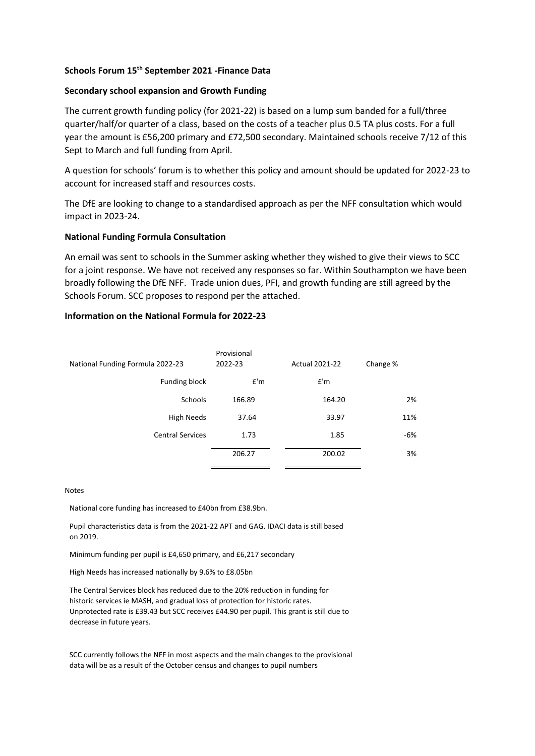# **Schools Forum 15th September 2021 -Finance Data**

## **Secondary school expansion and Growth Funding**

The current growth funding policy (for 2021-22) is based on a lump sum banded for a full/three quarter/half/or quarter of a class, based on the costs of a teacher plus 0.5 TA plus costs. For a full year the amount is £56,200 primary and £72,500 secondary. Maintained schools receive 7/12 of this Sept to March and full funding from April.

A question for schools' forum is to whether this policy and amount should be updated for 2022-23 to account for increased staff and resources costs.

The DfE are looking to change to a standardised approach as per the NFF consultation which would impact in 2023-24.

### **National Funding Formula Consultation**

An email was sent to schools in the Summer asking whether they wished to give their views to SCC for a joint response. We have not received any responses so far. Within Southampton we have been broadly following the DfE NFF. Trade union dues, PFI, and growth funding are still agreed by the Schools Forum. SCC proposes to respond per the attached.

### **Information on the National Formula for 2022-23**

|                                  | Provisional |                       |          |
|----------------------------------|-------------|-----------------------|----------|
| National Funding Formula 2022-23 | 2022-23     | <b>Actual 2021-22</b> | Change % |
| Funding block                    | E'm         | f'm                   |          |
| <b>Schools</b>                   | 166.89      | 164.20                | 2%       |
| High Needs                       | 37.64       | 33.97                 | 11%      |
| <b>Central Services</b>          | 1.73        | 1.85                  | $-6%$    |
|                                  | 206.27      | 200.02                | 3%       |

#### Notes

National core funding has increased to £40bn from £38.9bn.

Pupil characteristics data is from the 2021-22 APT and GAG. IDACI data is still based on 2019.

Minimum funding per pupil is £4,650 primary, and £6,217 secondary

High Needs has increased nationally by 9.6% to £8.05bn

The Central Services block has reduced due to the 20% reduction in funding for historic services ie MASH, and gradual loss of protection for historic rates. Unprotected rate is £39.43 but SCC receives £44.90 per pupil. This grant is still due to decrease in future years.

SCC currently follows the NFF in most aspects and the main changes to the provisional data will be as a result of the October census and changes to pupil numbers